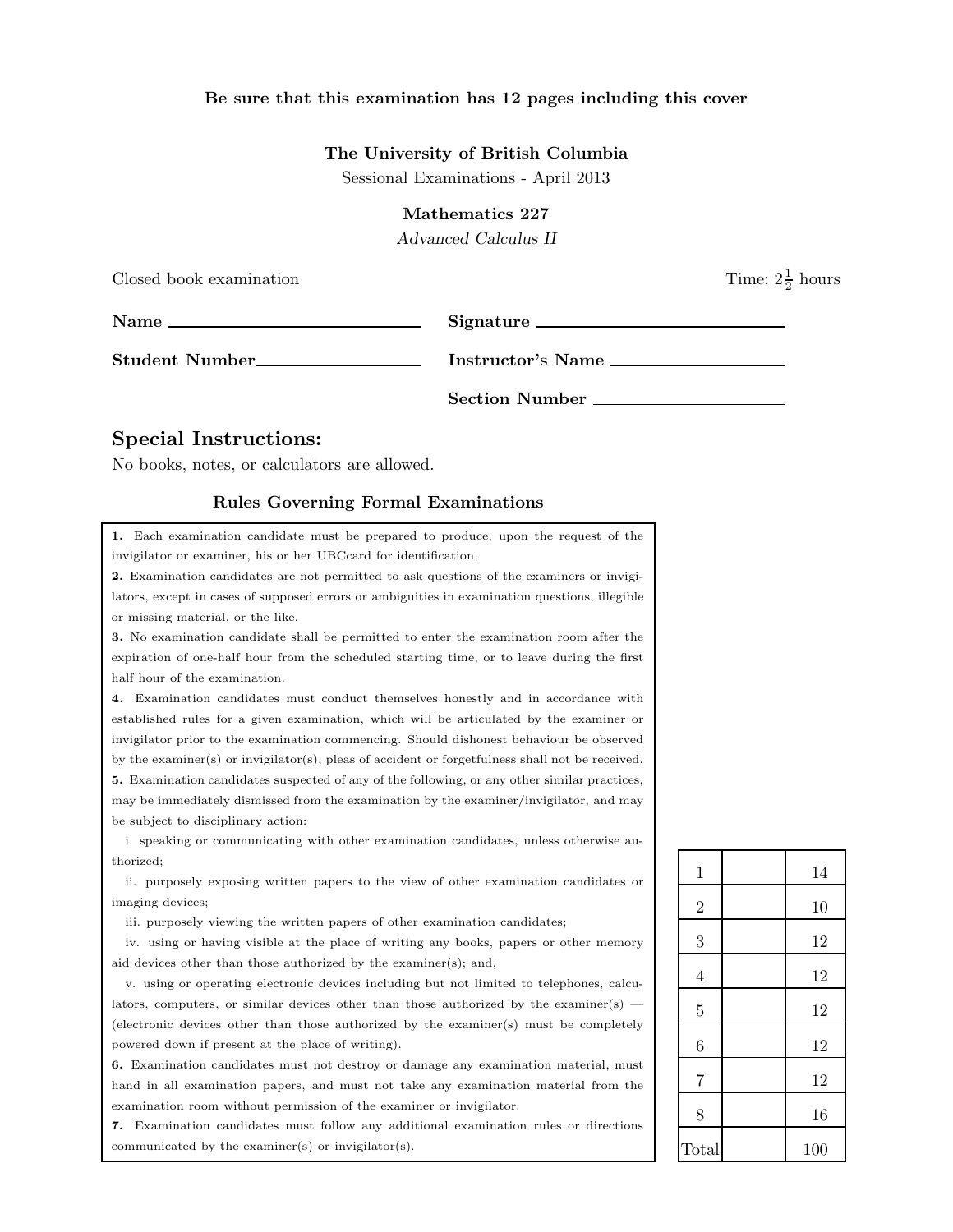## Be sure that this examination has 12 pages including this cover

### The University of British Columbia

Sessional Examinations - April 2013

### Mathematics 227

Advanced Calculus II

| Closed book examination |                   | Time: $2\frac{1}{2}$ hours |
|-------------------------|-------------------|----------------------------|
| $Name \nightharpoonup$  | Signature         |                            |
| Student Number          | Instructor's Name |                            |
|                         | Section Number    |                            |

# Special Instructions:

No books, notes, or calculators are allowed.

#### Rules Governing Formal Examinations

1. Each examination candidate must be prepared to produce, upon the request of the invigilator or examiner, his or her UBCcard for identification.

2. Examination candidates are not permitted to ask questions of the examiners or invigilators, except in cases of supposed errors or ambiguities in examination questions, illegible or missing material, or the like.

3. No examination candidate shall be permitted to enter the examination room after the expiration of one-half hour from the scheduled starting time, or to leave during the first half hour of the examination.

4. Examination candidates must conduct themselves honestly and in accordance with established rules for a given examination, which will be articulated by the examiner or invigilator prior to the examination commencing. Should dishonest behaviour be observed by the examiner(s) or invigilator(s), pleas of accident or forgetfulness shall not be received. 5. Examination candidates suspected of any of the following, or any other similar practices, may be immediately dismissed from the examination by the examiner/invigilator, and may be subject to disciplinary action:

i. speaking or communicating with other examination candidates, unless otherwise authorized;

ii. purposely exposing written papers to the view of other examination candidates or imaging devices;

iii. purposely viewing the written papers of other examination candidates;

iv. using or having visible at the place of writing any books, papers or other memory aid devices other than those authorized by the examiner(s); and,

v. using or operating electronic devices including but not limited to telephones, calculators, computers, or similar devices other than those authorized by the examiner(s) — (electronic devices other than those authorized by the examiner(s) must be completely powered down if present at the place of writing).

6. Examination candidates must not destroy or damage any examination material, must hand in all examination papers, and must not take any examination material from the examination room without permission of the examiner or invigilator.

7. Examination candidates must follow any additional examination rules or directions communicated by the examiner(s) or invigilator(s).

| $\mathbf 1$    | 14  |
|----------------|-----|
| $\overline{2}$ | 10  |
| 3              | 12  |
| $\overline{4}$ | 12  |
| $\overline{5}$ | 12  |
| 6              | 12  |
| $\overline{7}$ | 12  |
| 8              | 16  |
| Total          | 100 |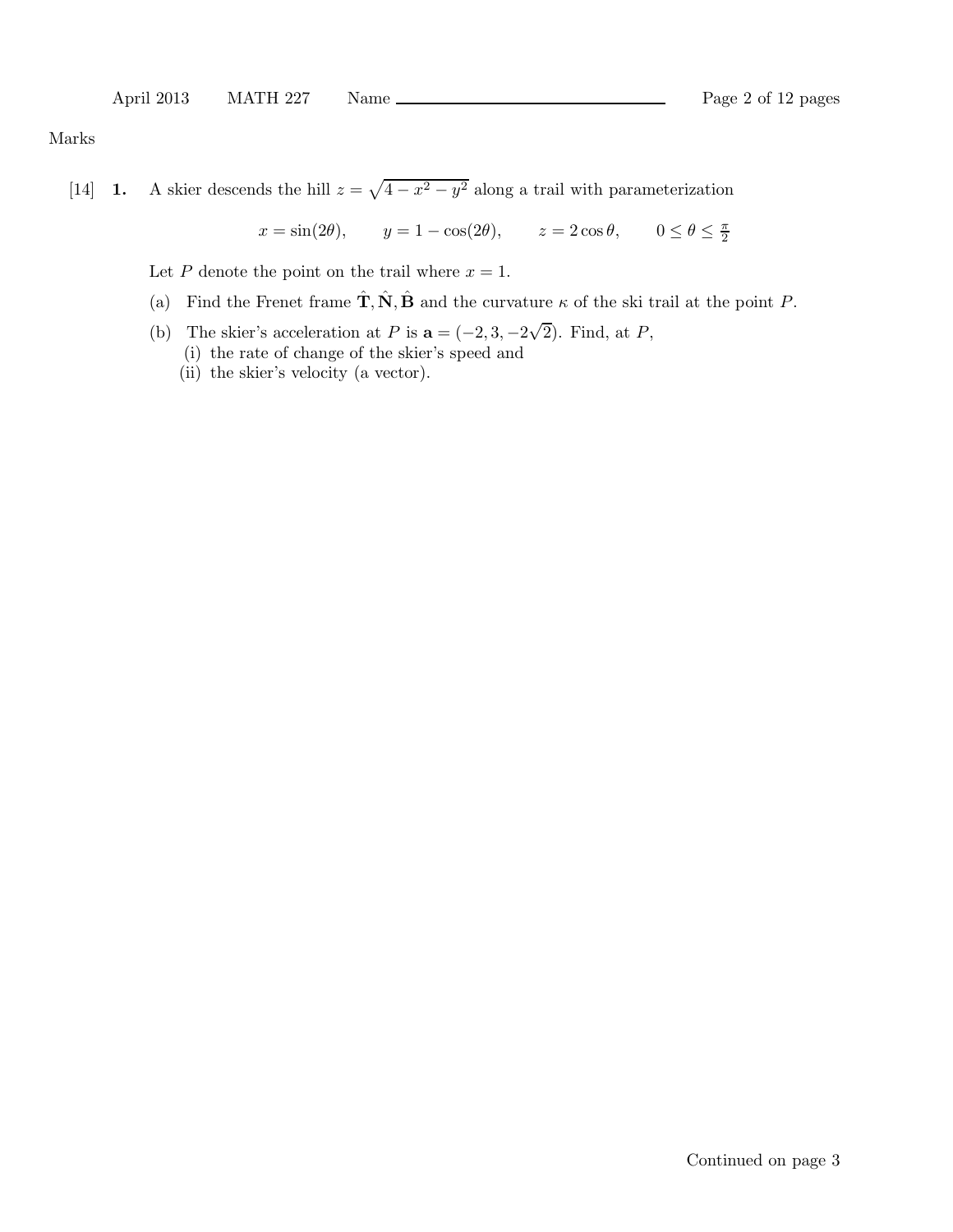Marks

[14] **1.** A skier descends the hill  $z = \sqrt{4 - x^2 - y^2}$  along a trail with parameterization

$$
x = \sin(2\theta)
$$
,  $y = 1 - \cos(2\theta)$ ,  $z = 2\cos\theta$ ,  $0 \le \theta \le \frac{\pi}{2}$ 

Let P denote the point on the trail where  $x = 1$ .

- (a) Find the Frenet frame  $\hat{\mathbf{T}}, \hat{\mathbf{N}}, \hat{\mathbf{B}}$  and the curvature  $\kappa$  of the ski trail at the point P.
- (b) The skier's acceleration at P is  $\mathbf{a} = (-2, 3, -2\sqrt{2})$ . Find, at P, (i) the rate of change of the skier's speed and
	- (ii) the skier's velocity (a vector).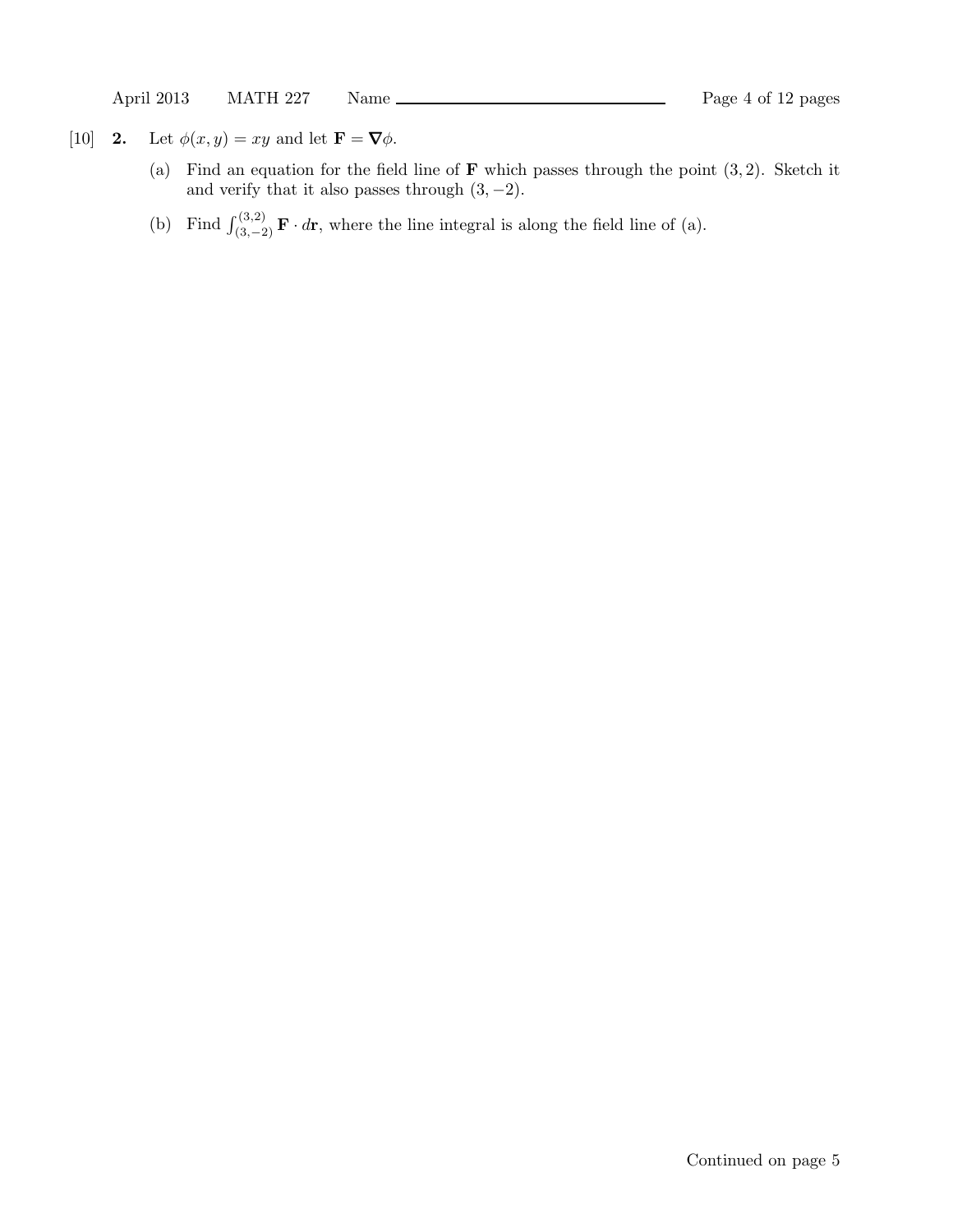- [10] **2.** Let  $\phi(x, y) = xy$  and let  $\mathbf{F} = \nabla \phi$ .
	- (a) Find an equation for the field line of  $\bf{F}$  which passes through the point  $(3, 2)$ . Sketch it and verify that it also passes through  $(3, -2)$ .
	- (b) Find  $\int_{(3,-2)}^{(3,2)} \mathbf{F} \cdot d\mathbf{r}$ , where the line integral is along the field line of (a).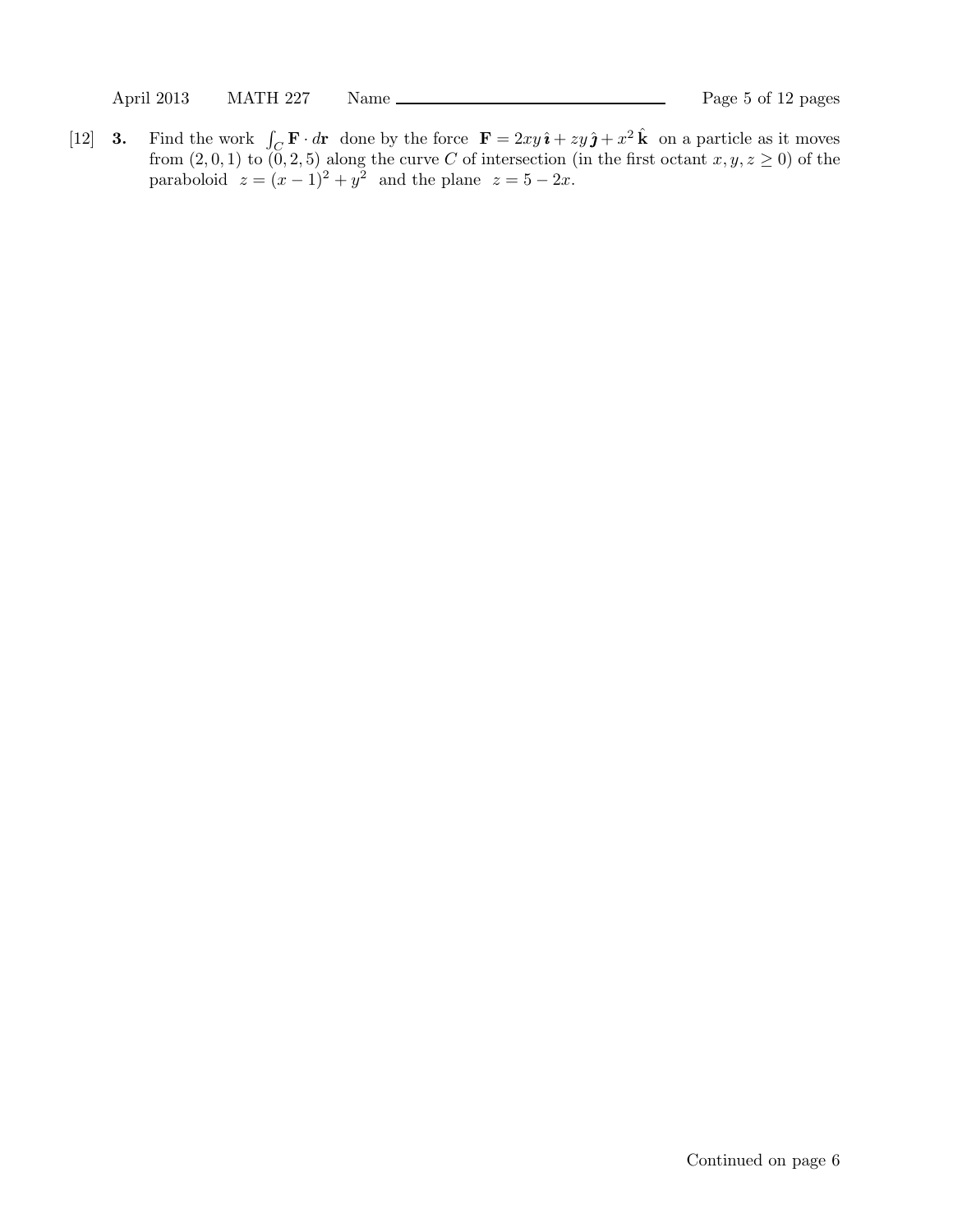[12] **3.** Find the work  $\int_C \mathbf{F} \cdot d\mathbf{r}$  done by the force  $\mathbf{F} = 2xy \hat{\imath} + zy \hat{\jmath} + x^2 \hat{k}$  on a particle as it moves from  $(2, 0, 1)$  to  $(0, 2, 5)$  along the curve C of intersection (in the first octant  $x, y, z \ge 0$ ) of the paraboloid  $z = (x - 1)^2 + y^2$  and the plane  $z = 5 - 2x$ .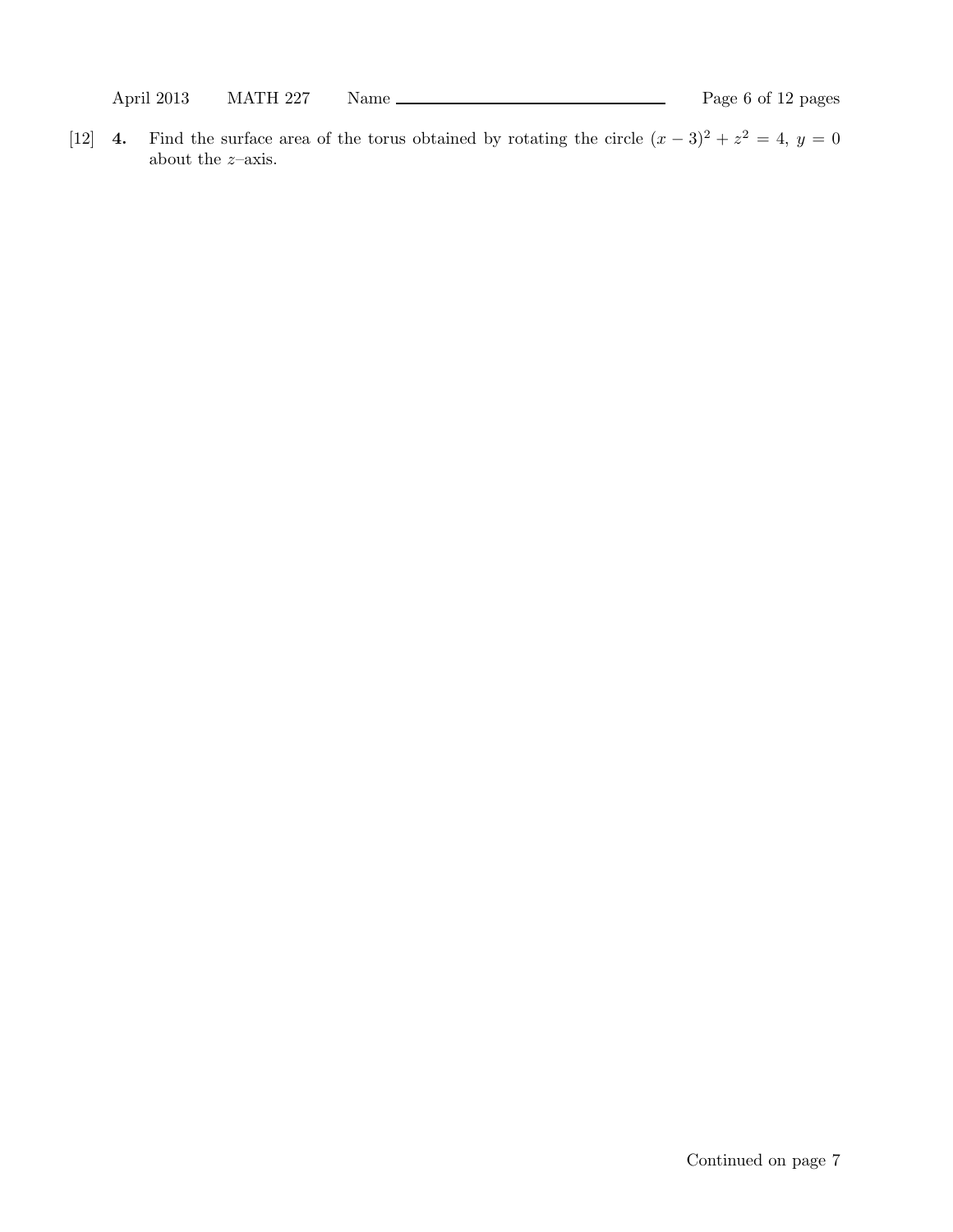April 2013 MATH 227 Name Rage 6 of 12 pages

[12] 4. Find the surface area of the torus obtained by rotating the circle  $(x-3)^2 + z^2 = 4$ ,  $y = 0$ about the  $z\textrm{–axis.}$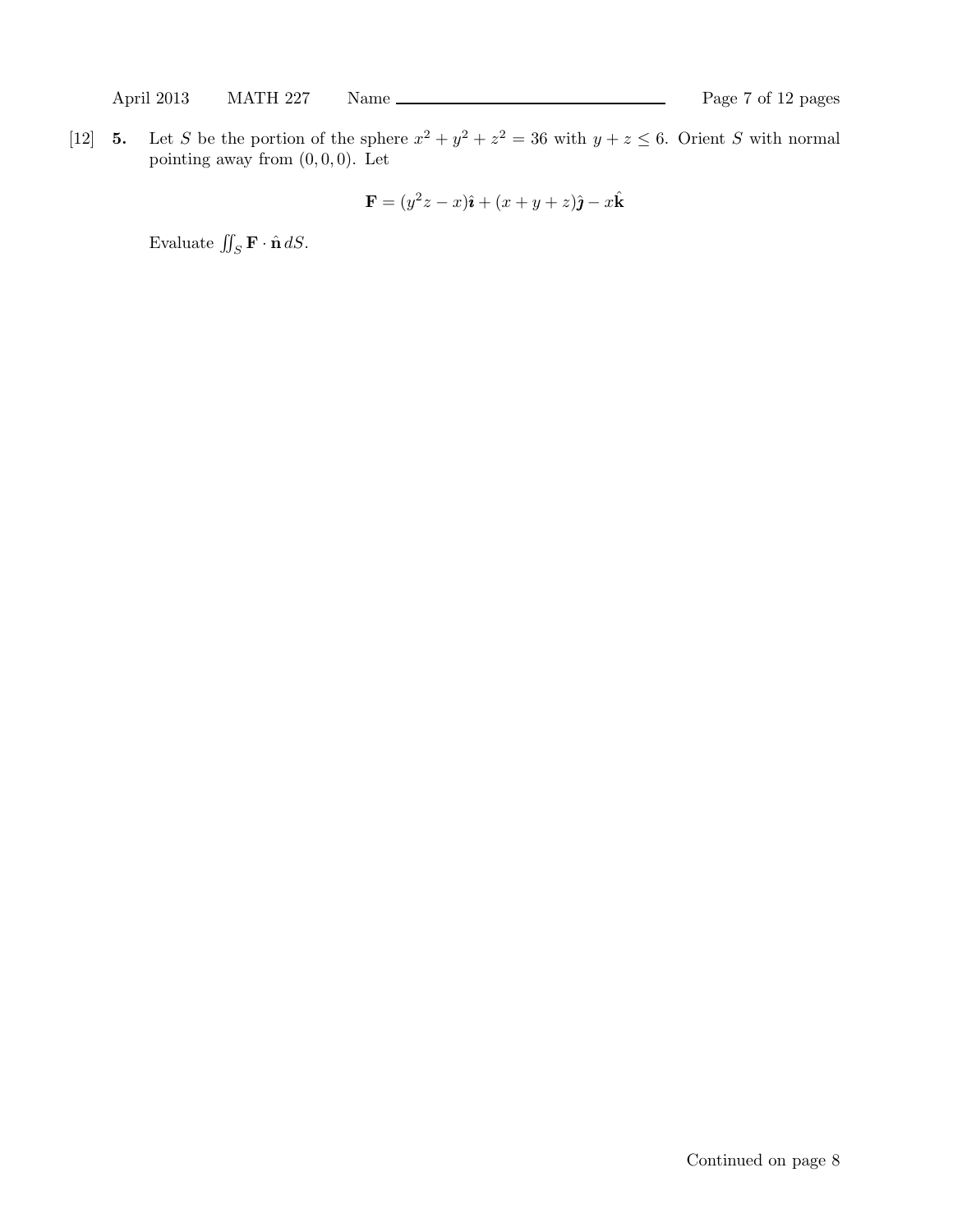[12] **5.** Let S be the portion of the sphere  $x^2 + y^2 + z^2 = 36$  with  $y + z \le 6$ . Orient S with normal pointing away from  $(0, 0, 0)$ . Let

$$
\mathbf{F} = (y^2z - x)\hat{\imath} + (x + y + z)\hat{\jmath} - x\hat{k}
$$

Evaluate  $\iint_S \mathbf{F} \cdot \hat{\mathbf{n}} dS$ .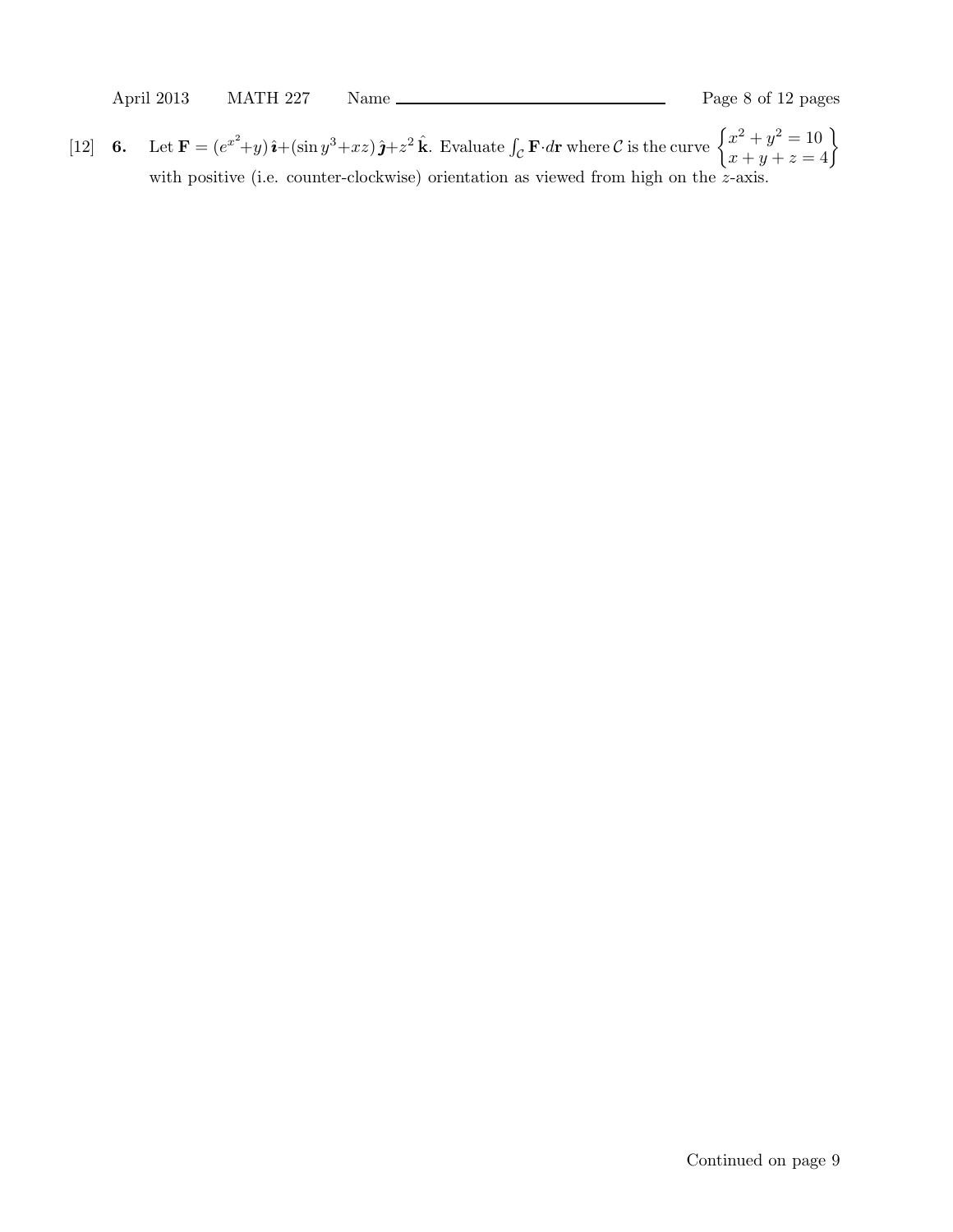[12] 6. Let  $\mathbf{F} = (e^{x^2}+y)\hat{\imath}+(\sin y^3+xz)\hat{\jmath}+z^2\hat{k}$ . Evaluate  $\int_{\mathcal{C}} \mathbf{F} \cdot d\mathbf{r}$  where  $\mathcal{C}$  is the curve  $\begin{cases} x^2+y^2=10 \\ x+y+z=4 \end{cases}$ with positive (i.e. counter-clockwise) orientation as viewed from high on the z-axis.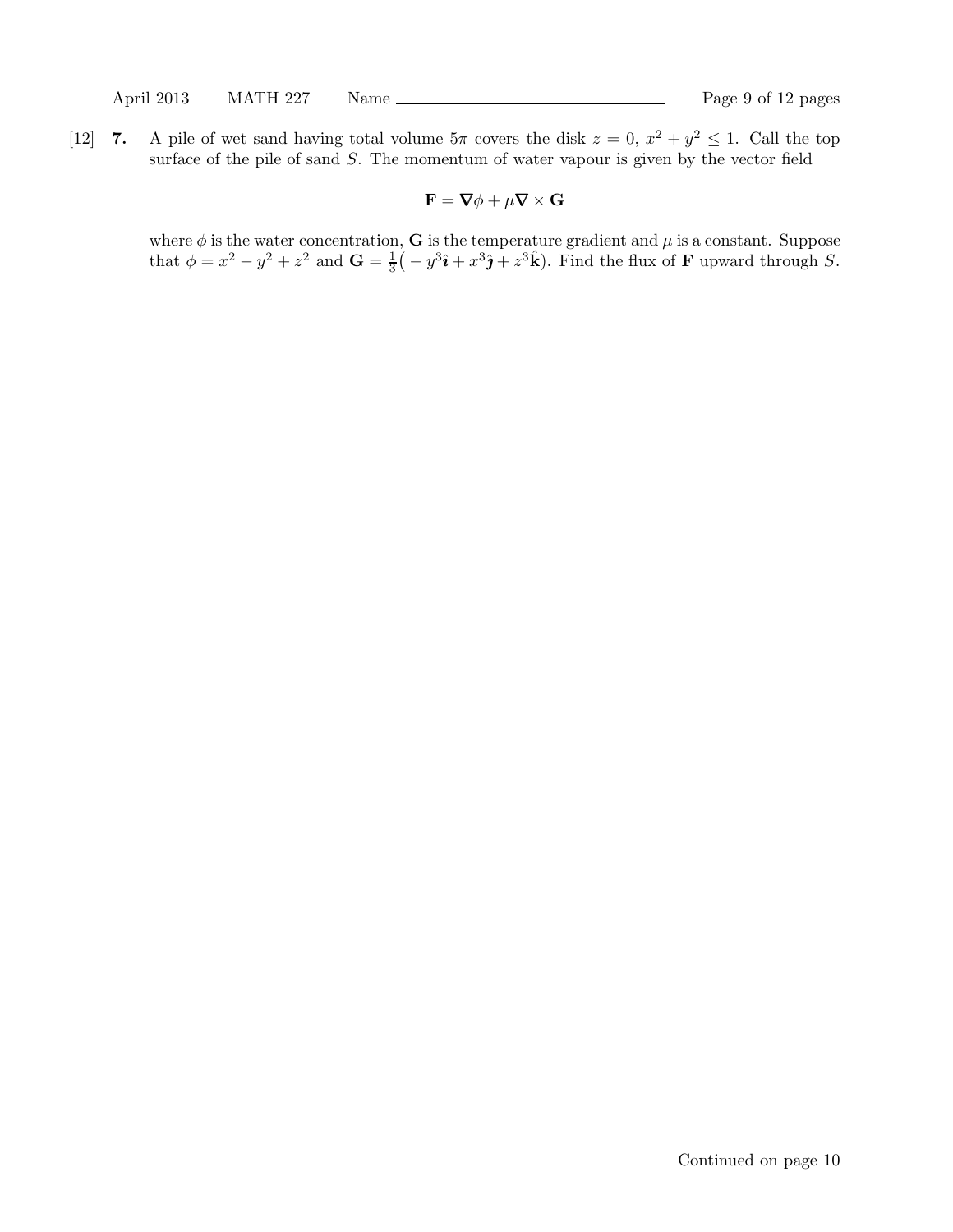[12] 7. A pile of wet sand having total volume  $5\pi$  covers the disk  $z = 0$ ,  $x^2 + y^2 \le 1$ . Call the top surface of the pile of sand S. The momentum of water vapour is given by the vector field

$$
\mathbf{F} = \mathbf{\nabla} \phi + \mu \mathbf{\nabla} \times \mathbf{G}
$$

where  $\phi$  is the water concentration, G is the temperature gradient and  $\mu$  is a constant. Suppose that  $\phi = x^2 - y^2 + z^2$  and  $\mathbf{G} = \frac{1}{3}(-y^3\hat{\imath} + x^3\hat{\jmath} + z^3\hat{k})$ . Find the flux of **F** upward through *S*.